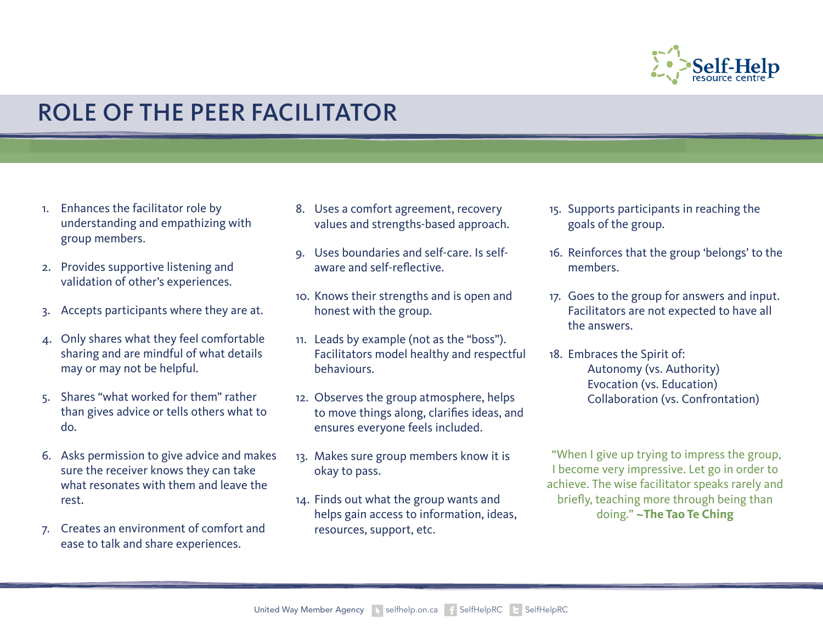

## ROLE OF THE PEER FACILITATOR

- 1. Enhances the facilitator role by understanding and empathizing with group members.
- 2. Provides supportive listening and validation of other's experiences.
- 3. Accepts participants where they are at.
- 4. Only shares what they feel comfortable sharing and are mindful of what details may or may not be helpful.
- 5. Shares "what worked for them" rather than gives advice or tells others what to do.
- 6. Asks permission to give advice and makes sure the receiver knows they can take what resonates with them and leave the rest.
- 7. Creates an environment of comfort and ease to talk and share experiences.
- 8. Uses a comfort agreement, recovery values and strengths-based approach.
- 9. Uses boundaries and self-care. Is selfaware and self-reflective.
- 10. Knows their strengths and is open and honest with the group.
- 11. Leads by example (not as the "boss"). Facilitators model healthy and respectful behaviours.
- 12. Observes the group atmosphere, helps to move things along, clarifies ideas, and ensures everyone feels included.
- 13. Makes sure group members know it is okay to pass.
- 14. Finds out what the group wants and helps gain access to information, ideas, resources, support, etc.
- 15. Supports participants in reaching the goals of the group.
- 16. Reinforces that the group 'belongs' to the members.
- 17. Goes to the group for answers and input. Facilitators are not expected to have all the answers.
- 18. Embraces the Spirit of: Autonomy (vs. Authority) Evocation (vs. Education) Collaboration (vs. Confrontation)

"When I give up trying to impress the group, I become very impressive. Let go in order to achieve. The wise facilitator speaks rarely and briefly, teaching more through being than doing." **~The Tao Te Ching**